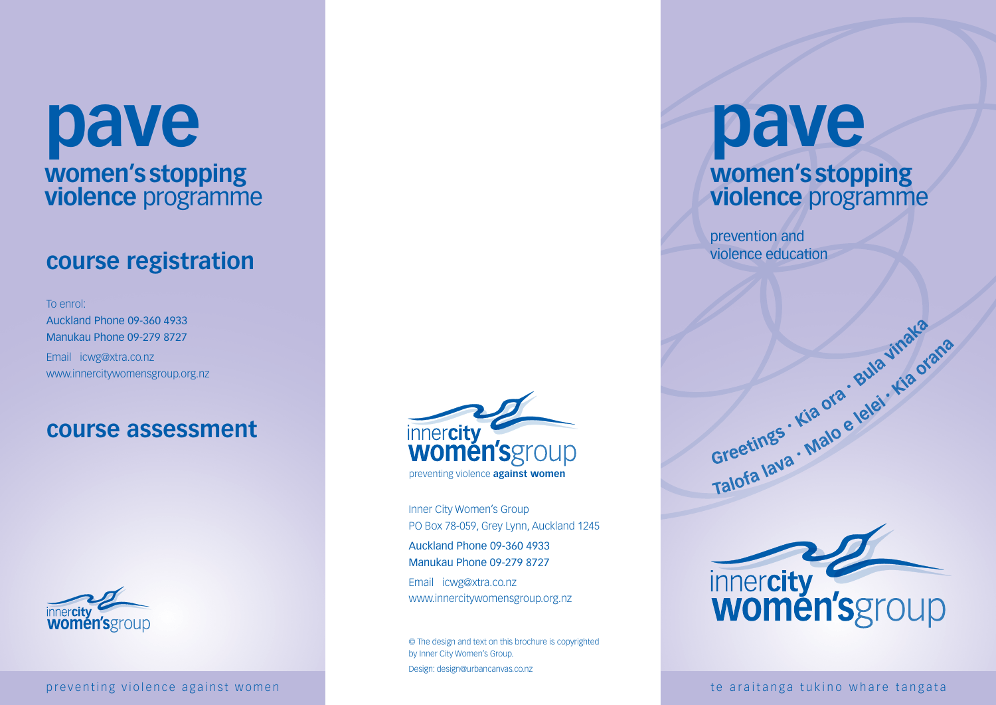# **pave women's stopping violence** programme

# **course registration**

To enrol: Auckland Phone 09-360 4933 Manukau Phone 09-279 8727 Email icwg@xtra.co.nz www.innercitywomensgroup.org.nz

# **course assessment**



preventing violence against women te araitanga tukino whare tangata



Inner City Women's Group PO Box 78-059, Grey Lynn, Auckland 1245 Auckland Phone 09-360 4933 Manukau Phone 09-279 8727 Email icwg@xtra.co.nz

www.innercitywomensgroup.org.nz

© The design and text on this brochure is copyrighted by Inner City Women's Group. Design: design@urbancanvas.co.nz

# **pave women's stopping violence** programme

prevention and violence education